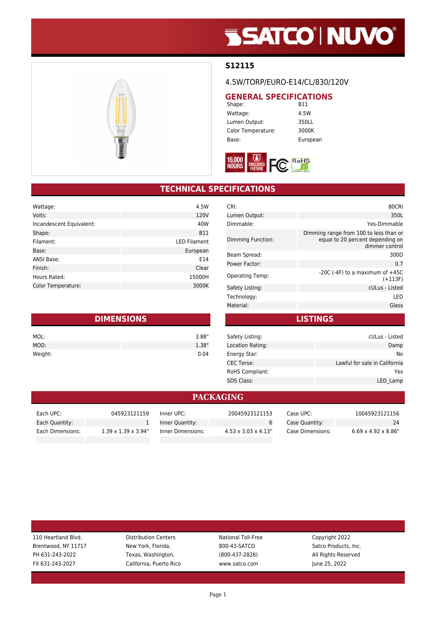# **SSATCO' NUVO'**

### **S12115**

#### 4.5W/TORP/EURO-E14/CL/830/120V

## **GENERAL SPECIFICATIONS**<br>Shape: B11

Shape: Wattage: 4.5W Lumen Output: 350LL Color Temperature: 3000K Base: European



### **TECHNICAL SPECIFICATIONS**

| Wattage:                 | 4.5W                |
|--------------------------|---------------------|
| Volts:                   | 120V                |
| Incandescent Equivalent: | 40W                 |
| Shape:                   | <b>B11</b>          |
| Filament:                | <b>LED Filament</b> |
| Base:                    | European            |
| <b>ANSI Base:</b>        | E14                 |
| Finish:                  | Clear               |
| Hours Rated:             | 15000H              |
| Color Temperature:       | 3000K               |
|                          |                     |

| <b>DIMENSIONS</b> |       |  |
|-------------------|-------|--|
| MOL:              | 3.88" |  |
| MOD:              | 1.38" |  |
| Weight:           | 0.04  |  |

| CRI:                   | 80CRI                                                                                        |
|------------------------|----------------------------------------------------------------------------------------------|
| Lumen Output:          | 350L                                                                                         |
| Dimmable:              | Yes-Dimmable                                                                                 |
| Dimming Function:      | Dimming range from 100 to less than or<br>equal to 20 percent depending on<br>dimmer control |
| Beam Spread:           | 300D                                                                                         |
| Power Factor:          | 0.7                                                                                          |
| <b>Operating Temp:</b> | $-20C$ ( $-4F$ ) to a maximum of $+45C$<br>$(+113F)$                                         |
| Safety Listing:        | cULus - Listed                                                                               |
| Technology:            | LED                                                                                          |
| Material:              | Glass                                                                                        |
|                        |                                                                                              |

**LISTINGS**

| Safety Listing:        | cULus - Listed                |
|------------------------|-------------------------------|
| Location Rating:       | Damp                          |
| Energy Star:           | No                            |
| <b>CEC Terse:</b>      | Lawful for sale in California |
| <b>RoHS Compliant:</b> | Yes                           |
| <b>SDS Class:</b>      | LED Lamp                      |
|                        |                               |

#### **PACKAGING**

| Each UPC:        | 045923121159                     | Inner UPC:        | 20045923121153                   | Case UPC:        | 10045923121156                   |
|------------------|----------------------------------|-------------------|----------------------------------|------------------|----------------------------------|
| Each Quantity:   |                                  | Inner Quantity:   |                                  | Case Quantity:   | 24                               |
| Each Dimensions: | $1.39 \times 1.39 \times 3.94$ " | Inner Dimensions: | $4.53 \times 3.03 \times 4.13$ " | Case Dimensions: | $6.69 \times 4.92 \times 8.86$ " |

| 110 Heartland Blvd. | <b>Distribution Centers</b> | National Toll-Free | Copyright 2022       |
|---------------------|-----------------------------|--------------------|----------------------|
| Brentwood, NY 11717 | New York, Florida,          | 800-43-SATCO       | Satco Products, Inc. |
| PH 631-243-2022     | Texas, Washington,          | $(800-437-2826)$   | All Rights Reserved  |
| FX 631-243-2027     | California, Puerto Rico     | www.satco.com      | June 25, 2022        |
|                     |                             |                    |                      |